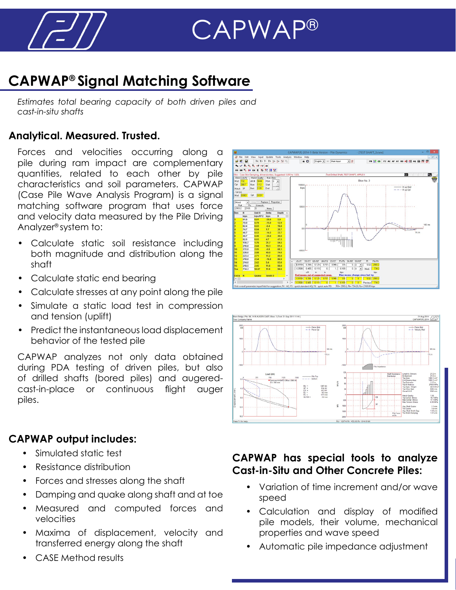

# CAPWAP®

### **CAPWAP® Signal Matching Software**

*Estimates total bearing capacity of both driven piles and cast-in-situ shafts*

#### **Analytical. Measured. Trusted.**

Forces and velocities occurring along a pile during ram impact are complementary quantities, related to each other by pile characteristics and soil parameters. CAPWAP (Case Pile Wave Analysis Program) is a signal matching software program that uses force and velocity data measured by the Pile Driving Analyzer® system to:

- Calculate static soil resistance including both magnitude and distribution along the shaft
- Calculate static end bearing
- Calculate stresses at any point along the pile
- Simulate a static load test in compression and tension (uplift)
- Predict the instantaneous load displacement behavior of the tested pile

CAPWAP analyzes not only data obtained during PDA testing of driven piles, but also of drilled shafts (bored piles) and augeredcast-in-place or continuous flight auger piles.

#### **CAPWAP output includes:**

- Simulated static test
- Resistance distribution
- Forces and stresses along the shaft
- Damping and quake along shaft and at toe
- Measured and computed forces and velocities
- Maxima of displacement, velocity and transferred energy along the shaft
- CASE Method results





#### **CAPWAP has special tools to analyze Cast-in-Situ and Other Concrete Piles:**

- Variation of time increment and/or wave speed
- Calculation and display of modified pile models, their volume, mechanical properties and wave speed
- Automatic pile impedance adjustment